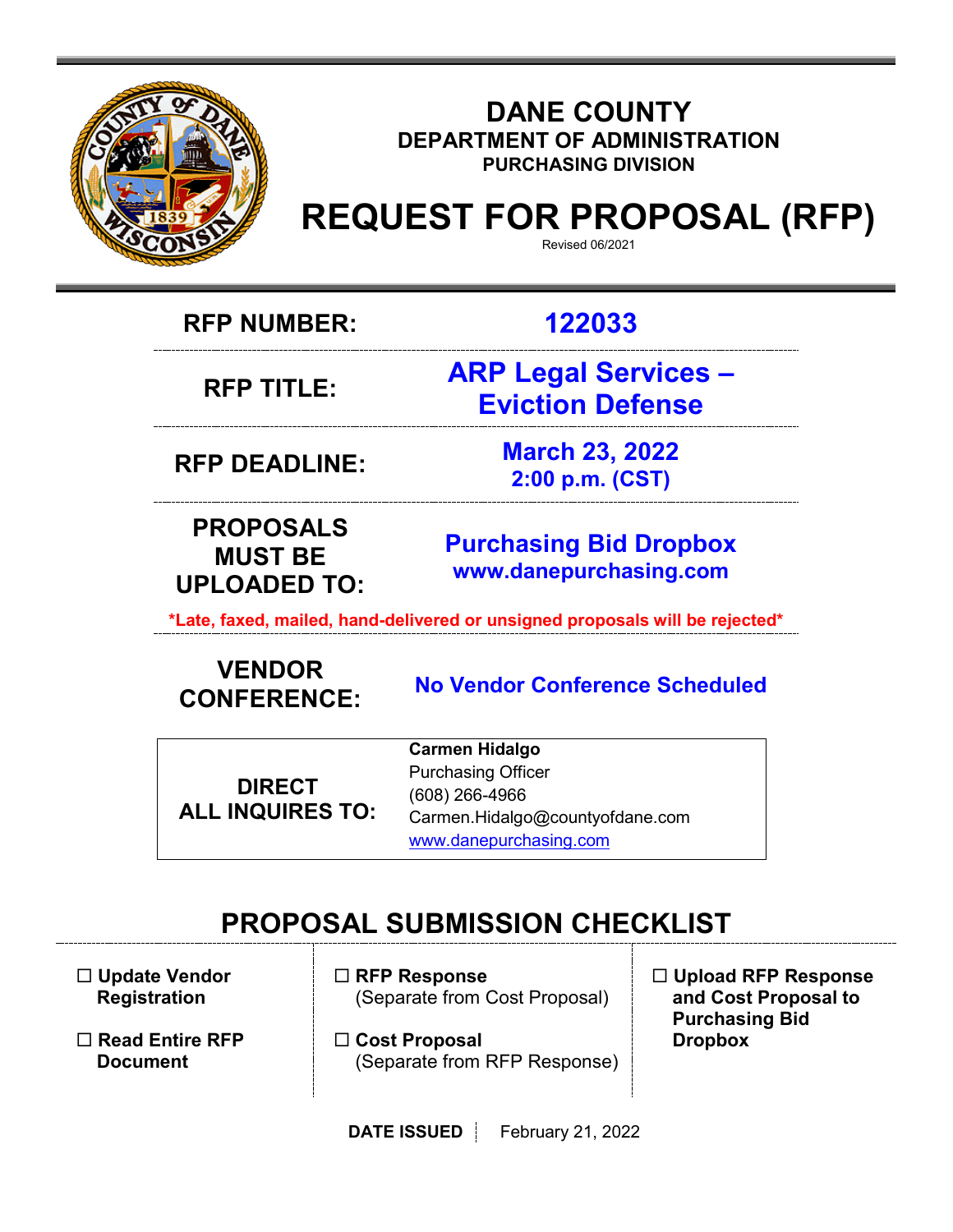

### **DANE COUNTY DEPARTMENT OF ADMINISTRATION PURCHASING DIVISION**

# **REQUEST FOR PROPOSAL (RFP)**

Revised 06/2021

**RFP NUMBER: 122033**

**RFP TITLE:**

**ARP Legal Services – Eviction Defense**

**RFP DEADLINE: March 23, 2022 2:00 p.m. (CST)**

**PROPOSALS MUST BE UPLOADED TO:**

**[Purchasing](mailto:BIDS@COUNTYOFDANE.COM) Bid Dropbox [www.danepurchasing.com](file://daneco.us/dfs/Department/purchasing/Shared/Forms%20&%20Templates/www.danepurchasing.com)**

**\*Late, faxed, mailed, hand-delivered or unsigned proposals will be rejected\***

# **VENDOR CONFERENCE:**

**No Vendor Conference Scheduled**

**DIRECT ALL INQUIRES TO:**

**Carmen Hidalgo** Purchasing Officer (608) 266-4966 Carmen.Hidalgo@countyofdane.com [www.danepurchasing.com](http://www.danepurchasing.com/)

# **PROPOSAL SUBMISSION CHECKLIST**

 **Update Vendor Registration**

- **Read Entire RFP Document**
- **RFP Response** (Separate from Cost Proposal)
- **Cost Proposal**  (Separate from RFP Response)
- **Upload RFP Response and Cost Proposal to Purchasing Bid Dropbox**

**DATE ISSUED** February 21, 2022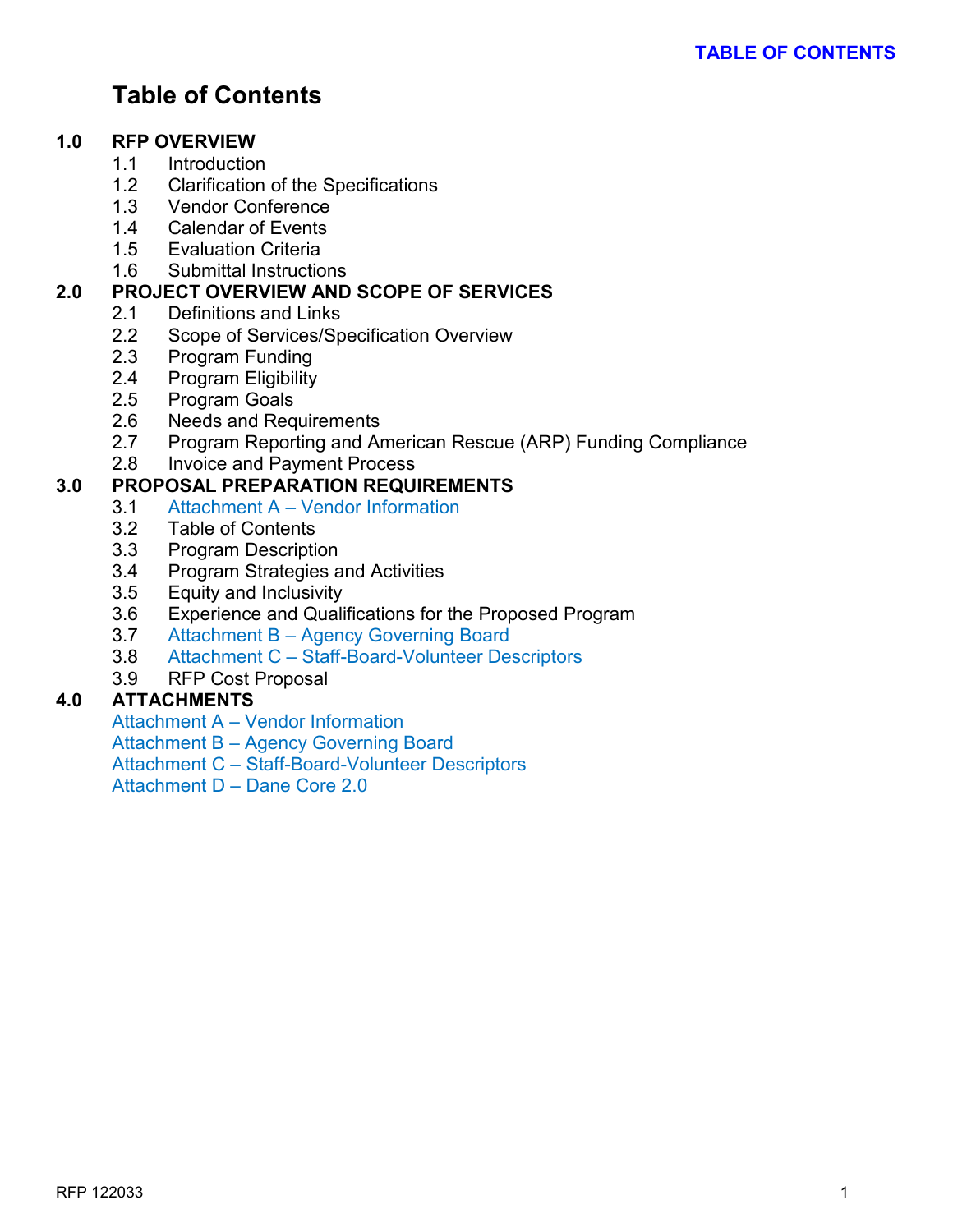# **Table of Contents**

#### **1.0 RFP OVERVIEW**

- 1.1 Introduction
- 1.2 Clarification of the Specifications
- 1.3 Vendor Conference
- 1.4 Calendar of Events
- 1.5 Evaluation Criteria
- 1.6 Submittal Instructions

#### **2.0 PROJECT OVERVIEW AND SCOPE OF SERVICES**

- 2.1 Definitions and Links
- 2.2 Scope of Services/Specification Overview
- 2.3 Program Funding<br>2.4 Program Eligibility
- Program Eligibility
- 2.5 Program Goals
- 2.6 Needs and Requirements
- 2.7 Program Reporting and American Rescue (ARP) Funding Compliance
- 2.8 Invoice and Payment Process

#### **3.0 PROPOSAL PREPARATION REQUIREMENTS**

- 3.1 Attachment A Vendor Information
- 3.2 Table of Contents
- 3.3 Program Description
- 3.4 Program Strategies and Activities
- 3.5 Equity and Inclusivity
- 3.6 Experience and Qualifications for the Proposed Program
- 3.7 Attachment B Agency Governing Board
- 3.8 Attachment C Staff-Board-Volunteer Descriptors
- 3.9 RFP Cost Proposal

#### **4.0 ATTACHMENTS**

Attachment A – Vendor Information Attachment B – Agency Governing Board Attachment C – Staff-Board-Volunteer Descriptors Attachment D – Dane Core 2.0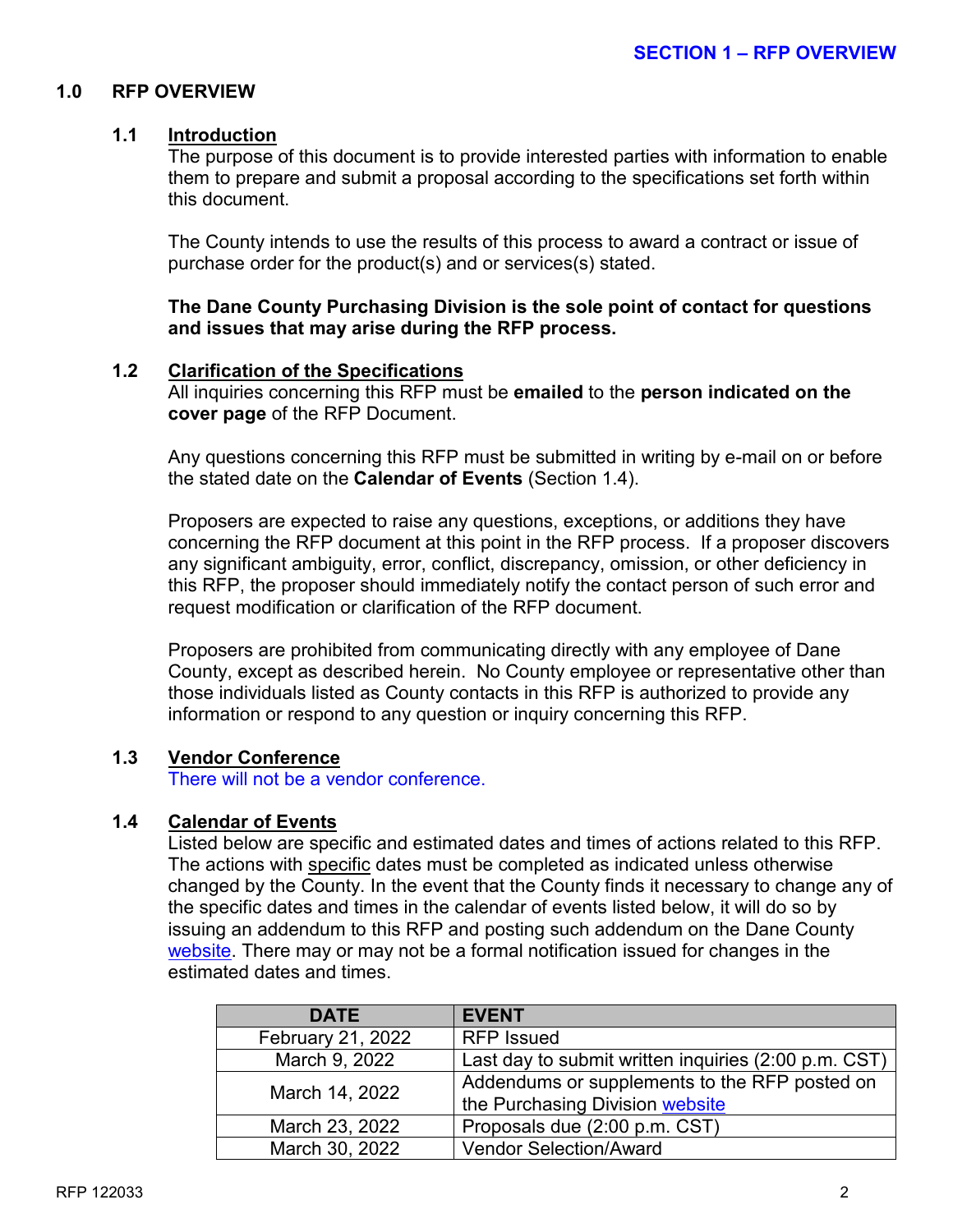#### **1.0 RFP OVERVIEW**

#### **1.1 Introduction**

The purpose of this document is to provide interested parties with information to enable them to prepare and submit a proposal according to the specifications set forth within this document.

The County intends to use the results of this process to award a contract or issue of purchase order for the product(s) and or services(s) stated.

**The Dane County Purchasing Division is the sole point of contact for questions and issues that may arise during the RFP process.**

#### **1.2 Clarification of the Specifications**

All inquiries concerning this RFP must be **emailed** to the **person indicated on the cover page** of the RFP Document.

Any questions concerning this RFP must be submitted in writing by e-mail on or before the stated date on the **Calendar of Events** (Section 1.4).

Proposers are expected to raise any questions, exceptions, or additions they have concerning the RFP document at this point in the RFP process. If a proposer discovers any significant ambiguity, error, conflict, discrepancy, omission, or other deficiency in this RFP, the proposer should immediately notify the contact person of such error and request modification or clarification of the RFP document.

Proposers are prohibited from communicating directly with any employee of Dane County, except as described herein. No County employee or representative other than those individuals listed as County contacts in this RFP is authorized to provide any information or respond to any question or inquiry concerning this RFP.

#### **1.3 Vendor Conference**

There will not be a vendor conference.

#### **1.4 Calendar of Events**

Listed below are specific and estimated dates and times of actions related to this RFP. The actions with specific dates must be completed as indicated unless otherwise changed by the County. In the event that the County finds it necessary to change any of the specific dates and times in the calendar of events listed below, it will do so by issuing an addendum to this RFP and posting such addendum on the Dane County [website.](http://www.danepurchasing.com/) There may or may not be a formal notification issued for changes in the estimated dates and times.

| <b>DATE</b>       | <b>EVENT</b>                                         |
|-------------------|------------------------------------------------------|
| February 21, 2022 | <b>RFP Issued</b>                                    |
| March 9, 2022     | Last day to submit written inquiries (2:00 p.m. CST) |
| March 14, 2022    | Addendums or supplements to the RFP posted on        |
|                   | the Purchasing Division website                      |
| March 23, 2022    | Proposals due (2:00 p.m. CST)                        |
| March 30, 2022    | <b>Vendor Selection/Award</b>                        |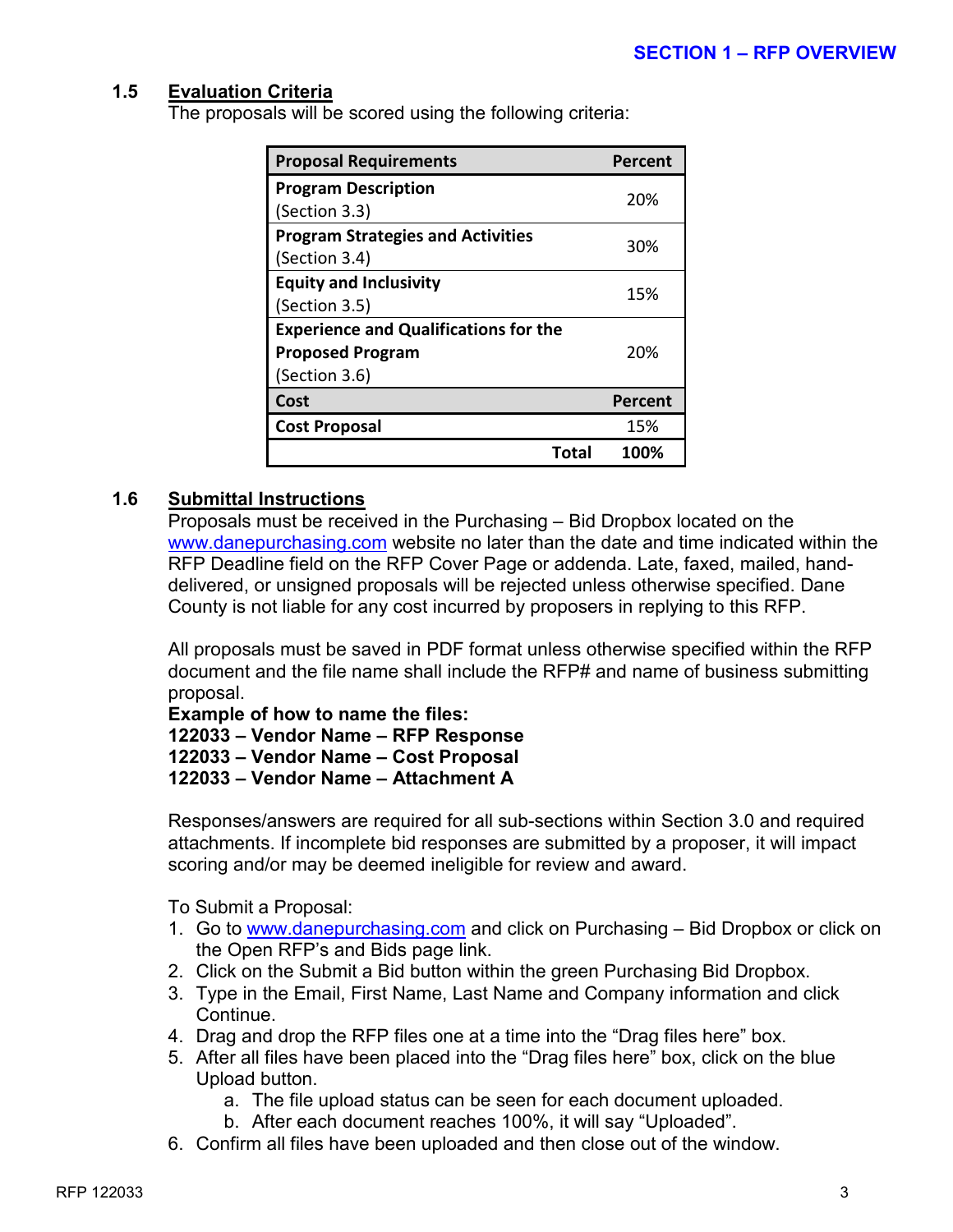#### **1.5 Evaluation Criteria**

The proposals will be scored using the following criteria:

| <b>Proposal Requirements</b>                 | Percent |  |
|----------------------------------------------|---------|--|
| <b>Program Description</b>                   | 20%     |  |
| (Section 3.3)                                |         |  |
| <b>Program Strategies and Activities</b>     | 30%     |  |
| (Section 3.4)                                |         |  |
| <b>Equity and Inclusivity</b>                | 15%     |  |
| (Section 3.5)                                |         |  |
| <b>Experience and Qualifications for the</b> |         |  |
| <b>Proposed Program</b>                      | 20%     |  |
| (Section 3.6)                                |         |  |
| Cost                                         | Percent |  |
| <b>Cost Proposal</b>                         | 15%     |  |
| Total                                        | 100%    |  |

#### **1.6 Submittal Instructions**

Proposals must be received in the Purchasing – Bid Dropbox located on the [www.danepurchasing.com](http://www.danepurchasing.com/) website no later than the date and time indicated within the RFP Deadline field on the RFP Cover Page or addenda. Late, faxed, mailed, handdelivered, or unsigned proposals will be rejected unless otherwise specified. Dane County is not liable for any cost incurred by proposers in replying to this RFP.

All proposals must be saved in PDF format unless otherwise specified within the RFP document and the file name shall include the RFP# and name of business submitting proposal.

**Example of how to name the files: – Vendor Name – RFP Response – Vendor Name – Cost Proposal – Vendor Name – Attachment A**

Responses/answers are required for all sub-sections within Section 3.0 and required attachments. If incomplete bid responses are submitted by a proposer, it will impact scoring and/or may be deemed ineligible for review and award.

To Submit a Proposal:

- 1. Go to [www.danepurchasing.com](http://www.danepurchasing.com/) and click on Purchasing Bid Dropbox or click on the Open RFP's and Bids page link.
- 2. Click on the Submit a Bid button within the green Purchasing Bid Dropbox.
- 3. Type in the Email, First Name, Last Name and Company information and click Continue.
- 4. Drag and drop the RFP files one at a time into the "Drag files here" box.
- 5. After all files have been placed into the "Drag files here" box, click on the blue Upload button.
	- a. The file upload status can be seen for each document uploaded.
	- b. After each document reaches 100%, it will say "Uploaded".
- 6. Confirm all files have been uploaded and then close out of the window.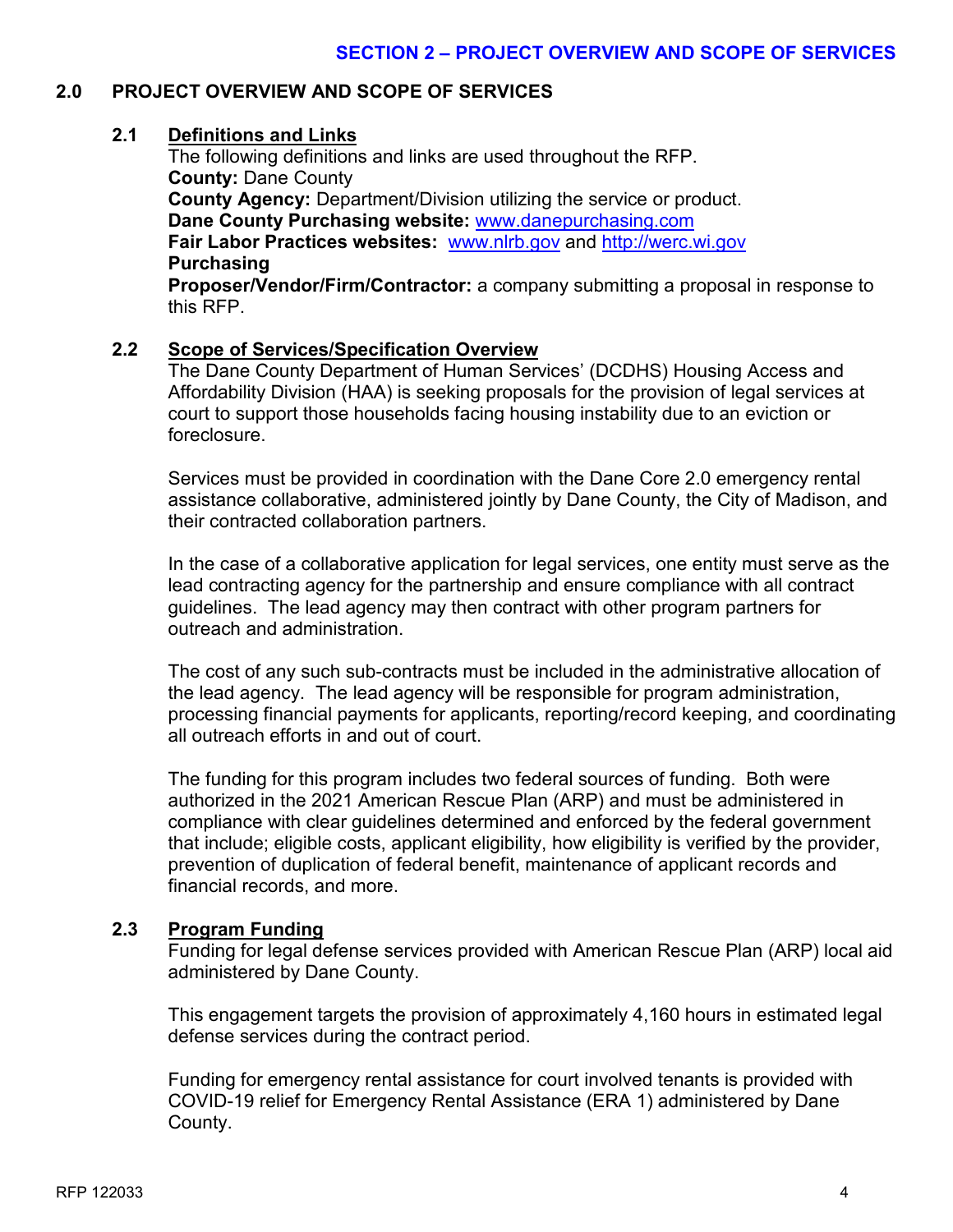#### **2.0 PROJECT OVERVIEW AND SCOPE OF SERVICES**

#### **2.1 Definitions and Links**

The following definitions and links are used throughout the RFP. **County:** Dane County **County Agency:** Department/Division utilizing the service or product. **Dane County Purchasing website:** [www.danepurchasing.com](http://www.danepurchasing.com/) **Fair Labor Practices websites:** [www.nlrb.gov](http://www.nlrb.gov/) and [http://werc.wi.gov](http://werc.wi.gov/) **Purchasing**

**Proposer/Vendor/Firm/Contractor:** a company submitting a proposal in response to this RFP.

#### **2.2 Scope of Services/Specification Overview**

The Dane County Department of Human Services' (DCDHS) Housing Access and Affordability Division (HAA) is seeking proposals for the provision of legal services at court to support those households facing housing instability due to an eviction or foreclosure.

Services must be provided in coordination with the Dane Core 2.0 emergency rental assistance collaborative, administered jointly by Dane County, the City of Madison, and their contracted collaboration partners.

In the case of a collaborative application for legal services, one entity must serve as the lead contracting agency for the partnership and ensure compliance with all contract guidelines. The lead agency may then contract with other program partners for outreach and administration.

The cost of any such sub-contracts must be included in the administrative allocation of the lead agency. The lead agency will be responsible for program administration, processing financial payments for applicants, reporting/record keeping, and coordinating all outreach efforts in and out of court.

The funding for this program includes two federal sources of funding. Both were authorized in the 2021 American Rescue Plan (ARP) and must be administered in compliance with clear guidelines determined and enforced by the federal government that include; eligible costs, applicant eligibility, how eligibility is verified by the provider, prevention of duplication of federal benefit, maintenance of applicant records and financial records, and more.

#### **2.3 Program Funding**

Funding for legal defense services provided with American Rescue Plan (ARP) local aid administered by Dane County.

This engagement targets the provision of approximately 4,160 hours in estimated legal defense services during the contract period.

Funding for emergency rental assistance for court involved tenants is provided with COVID-19 relief for Emergency Rental Assistance (ERA 1) administered by Dane County.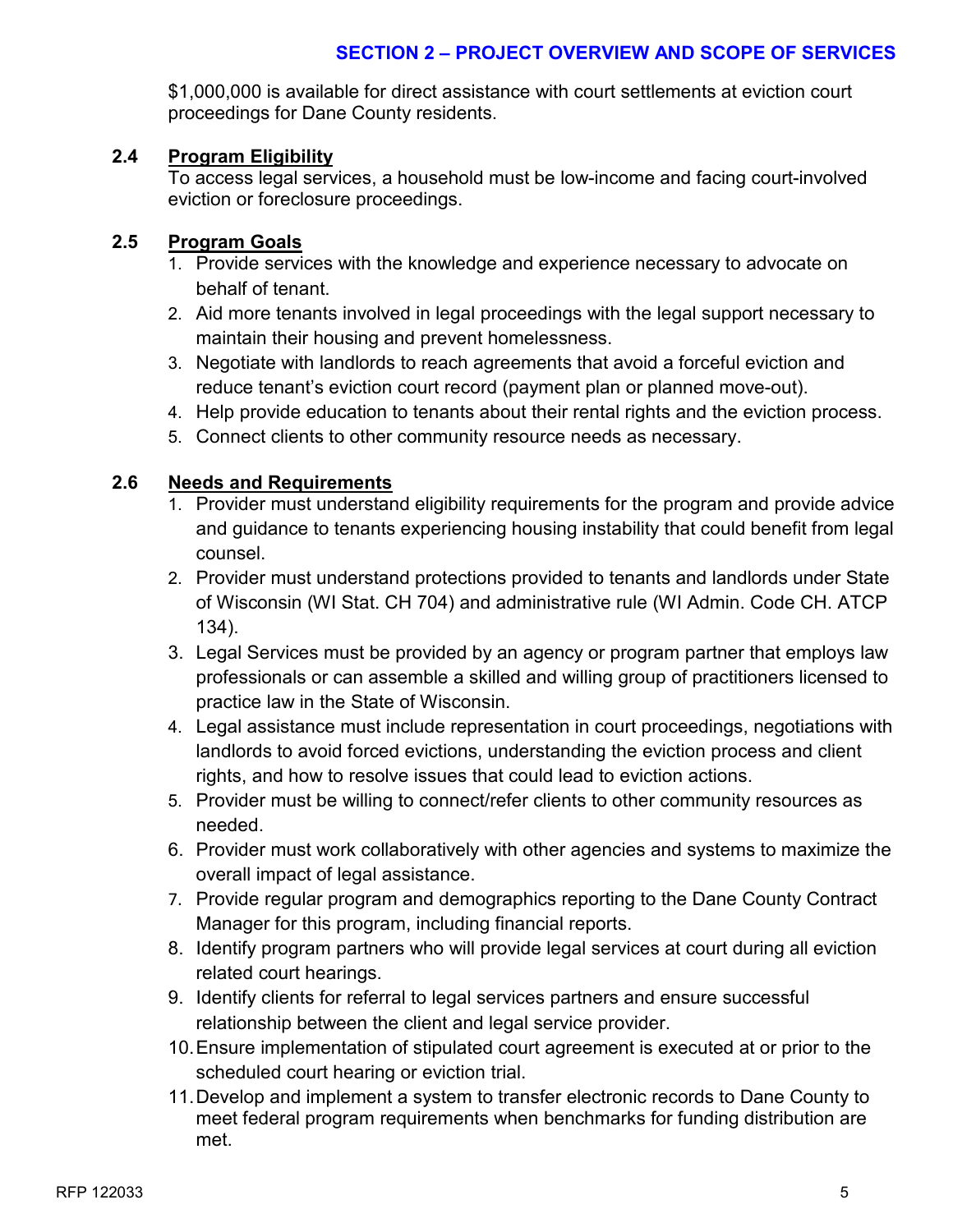#### **SECTION 2 – PROJECT OVERVIEW AND SCOPE OF SERVICES**

\$1,000,000 is available for direct assistance with court settlements at eviction court proceedings for Dane County residents.

#### **2.4 Program Eligibility**

To access legal services, a household must be low-income and facing court-involved eviction or foreclosure proceedings.

#### **2.5 Program Goals**

- 1. Provide services with the knowledge and experience necessary to advocate on behalf of tenant.
- 2. Aid more tenants involved in legal proceedings with the legal support necessary to maintain their housing and prevent homelessness.
- 3. Negotiate with landlords to reach agreements that avoid a forceful eviction and reduce tenant's eviction court record (payment plan or planned move-out).
- 4. Help provide education to tenants about their rental rights and the eviction process.
- 5. Connect clients to other community resource needs as necessary.

#### **2.6 Needs and Requirements**

- 1. Provider must understand eligibility requirements for the program and provide advice and guidance to tenants experiencing housing instability that could benefit from legal counsel.
- 2. Provider must understand protections provided to tenants and landlords under State of Wisconsin (WI Stat. CH 704) and administrative rule (WI Admin. Code CH. ATCP 134).
- 3. Legal Services must be provided by an agency or program partner that employs law professionals or can assemble a skilled and willing group of practitioners licensed to practice law in the State of Wisconsin.
- 4. Legal assistance must include representation in court proceedings, negotiations with landlords to avoid forced evictions, understanding the eviction process and client rights, and how to resolve issues that could lead to eviction actions.
- 5. Provider must be willing to connect/refer clients to other community resources as needed.
- 6. Provider must work collaboratively with other agencies and systems to maximize the overall impact of legal assistance.
- 7. Provide regular program and demographics reporting to the Dane County Contract Manager for this program, including financial reports.
- 8. Identify program partners who will provide legal services at court during all eviction related court hearings.
- 9. Identify clients for referral to legal services partners and ensure successful relationship between the client and legal service provider.
- 10.Ensure implementation of stipulated court agreement is executed at or prior to the scheduled court hearing or eviction trial.
- 11.Develop and implement a system to transfer electronic records to Dane County to meet federal program requirements when benchmarks for funding distribution are met.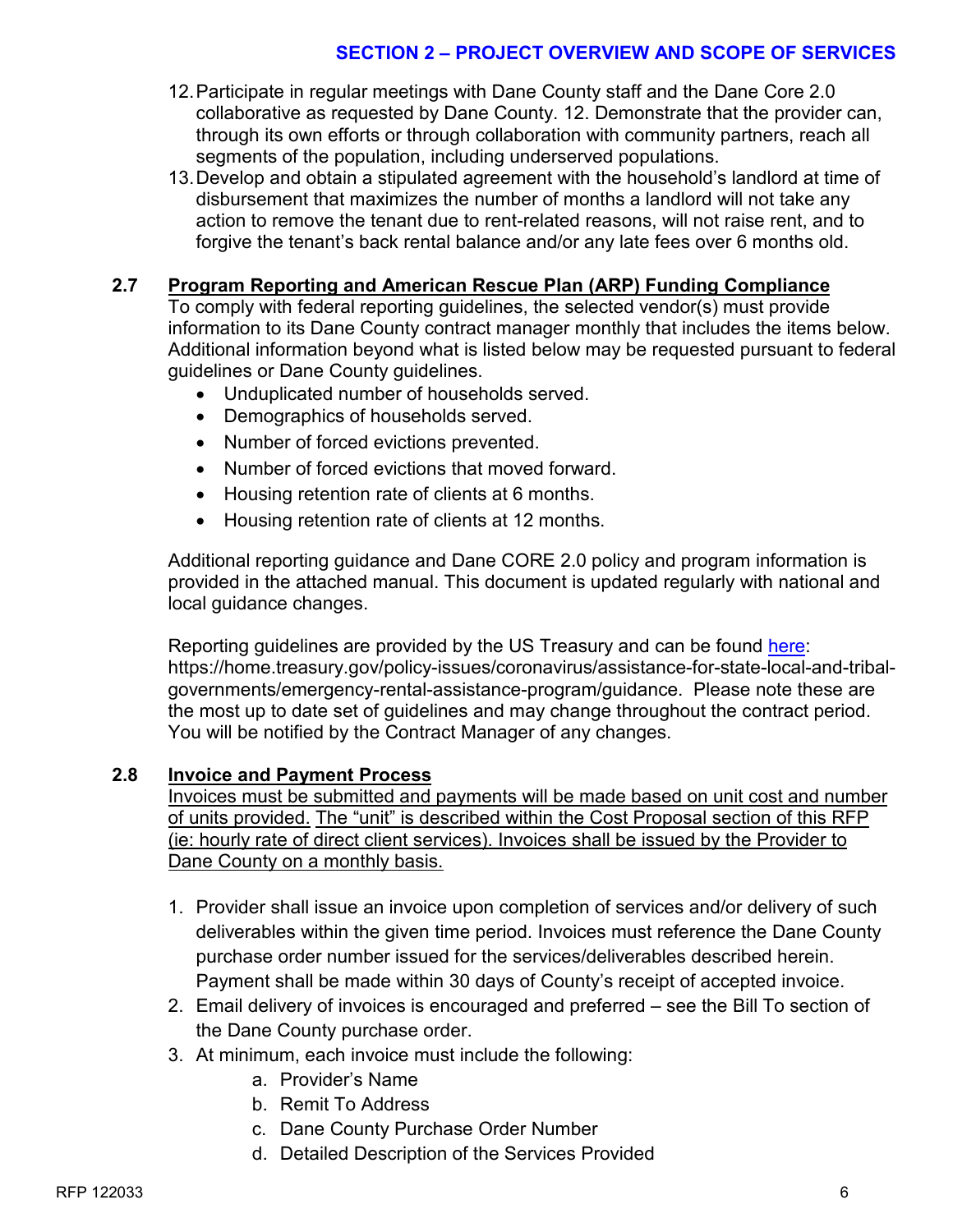#### **SECTION 2 – PROJECT OVERVIEW AND SCOPE OF SERVICES**

- 12.Participate in regular meetings with Dane County staff and the Dane Core 2.0 collaborative as requested by Dane County. 12. Demonstrate that the provider can, through its own efforts or through collaboration with community partners, reach all segments of the population, including underserved populations.
- 13.Develop and obtain a stipulated agreement with the household's landlord at time of disbursement that maximizes the number of months a landlord will not take any action to remove the tenant due to rent-related reasons, will not raise rent, and to forgive the tenant's back rental balance and/or any late fees over 6 months old.

#### **2.7 Program Reporting and American Rescue Plan (ARP) Funding Compliance**

To comply with federal reporting guidelines, the selected vendor(s) must provide information to its Dane County contract manager monthly that includes the items below. Additional information beyond what is listed below may be requested pursuant to federal guidelines or Dane County guidelines.

- Unduplicated number of households served.
- Demographics of households served.
- Number of forced evictions prevented.
- Number of forced evictions that moved forward.
- Housing retention rate of clients at 6 months.
- Housing retention rate of clients at 12 months.

Additional reporting guidance and Dane CORE 2.0 policy and program information is provided in the attached manual. This document is updated regularly with national and local guidance changes.

Reporting guidelines are provided by the US Treasury and can be found [here:](https://home.treasury.gov/policy-issues/coronavirus/assistance-for-state-local-and-tribal-governments/emergency-rental-assistance-program/guidance) https://home.treasury.gov/policy-issues/coronavirus/assistance-for-state-local-and-tribalgovernments/emergency-rental-assistance-program/guidance. Please note these are the most up to date set of guidelines and may change throughout the contract period. You will be notified by the Contract Manager of any changes.

#### **2.8 Invoice and Payment Process**

Invoices must be submitted and payments will be made based on unit cost and number of units provided. The "unit" is described within the Cost Proposal section of this RFP (ie: hourly rate of direct client services). Invoices shall be issued by the Provider to Dane County on a monthly basis.

- 1. Provider shall issue an invoice upon completion of services and/or delivery of such deliverables within the given time period. Invoices must reference the Dane County purchase order number issued for the services/deliverables described herein. Payment shall be made within 30 days of County's receipt of accepted invoice.
- 2. Email delivery of invoices is encouraged and preferred see the Bill To section of the Dane County purchase order.
- 3. At minimum, each invoice must include the following:
	- a. Provider's Name
	- b. Remit To Address
	- c. Dane County Purchase Order Number
	- d. Detailed Description of the Services Provided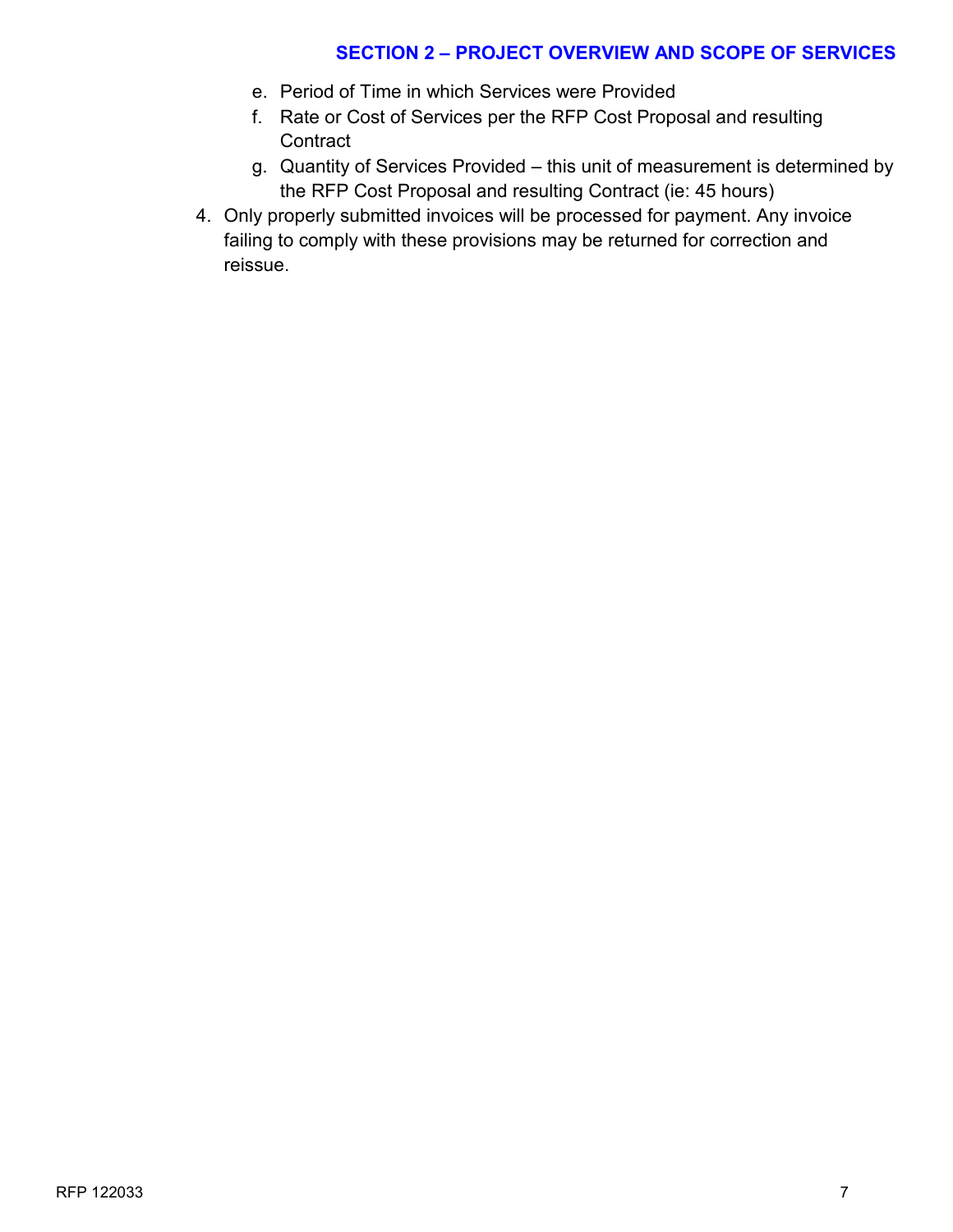#### **SECTION 2 – PROJECT OVERVIEW AND SCOPE OF SERVICES**

- e. Period of Time in which Services were Provided
- f. Rate or Cost of Services per the RFP Cost Proposal and resulting **Contract**
- g. Quantity of Services Provided this unit of measurement is determined by the RFP Cost Proposal and resulting Contract (ie: 45 hours)
- 4. Only properly submitted invoices will be processed for payment. Any invoice failing to comply with these provisions may be returned for correction and reissue.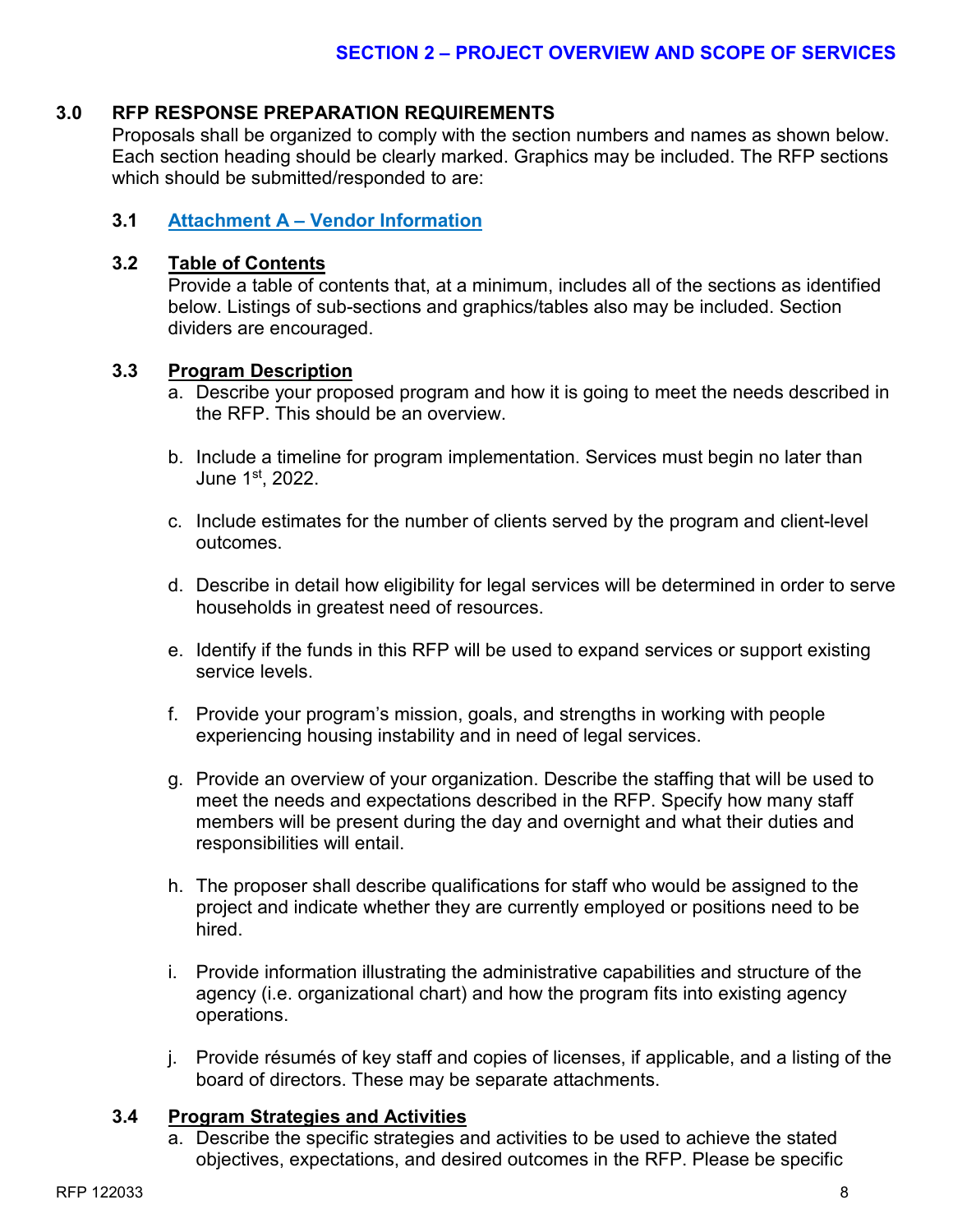#### **3.0 RFP RESPONSE PREPARATION REQUIREMENTS**

Proposals shall be organized to comply with the section numbers and names as shown below. Each section heading should be clearly marked. Graphics may be included. The RFP sections which should be submitted/responded to are:

#### **3.1 Attachment A – Vendor Information**

#### **3.2 Table of Contents**

Provide a table of contents that, at a minimum, includes all of the sections as identified below. Listings of sub-sections and graphics/tables also may be included. Section dividers are encouraged.

#### **3.3 Program Description**

- a. Describe your proposed program and how it is going to meet the needs described in the RFP. This should be an overview.
- b. Include a timeline for program implementation. Services must begin no later than June 1st, 2022.
- c. Include estimates for the number of clients served by the program and client-level outcomes.
- d. Describe in detail how eligibility for legal services will be determined in order to serve households in greatest need of resources.
- e. Identify if the funds in this RFP will be used to expand services or support existing service levels.
- f. Provide your program's mission, goals, and strengths in working with people experiencing housing instability and in need of legal services.
- g. Provide an overview of your organization. Describe the staffing that will be used to meet the needs and expectations described in the RFP. Specify how many staff members will be present during the day and overnight and what their duties and responsibilities will entail.
- h. The proposer shall describe qualifications for staff who would be assigned to the project and indicate whether they are currently employed or positions need to be hired.
- i. Provide information illustrating the administrative capabilities and structure of the agency (i.e. organizational chart) and how the program fits into existing agency operations.
- j. Provide résumés of key staff and copies of licenses, if applicable, and a listing of the board of directors. These may be separate attachments.

#### **3.4 Program Strategies and Activities**

a. Describe the specific strategies and activities to be used to achieve the stated objectives, expectations, and desired outcomes in the RFP. Please be specific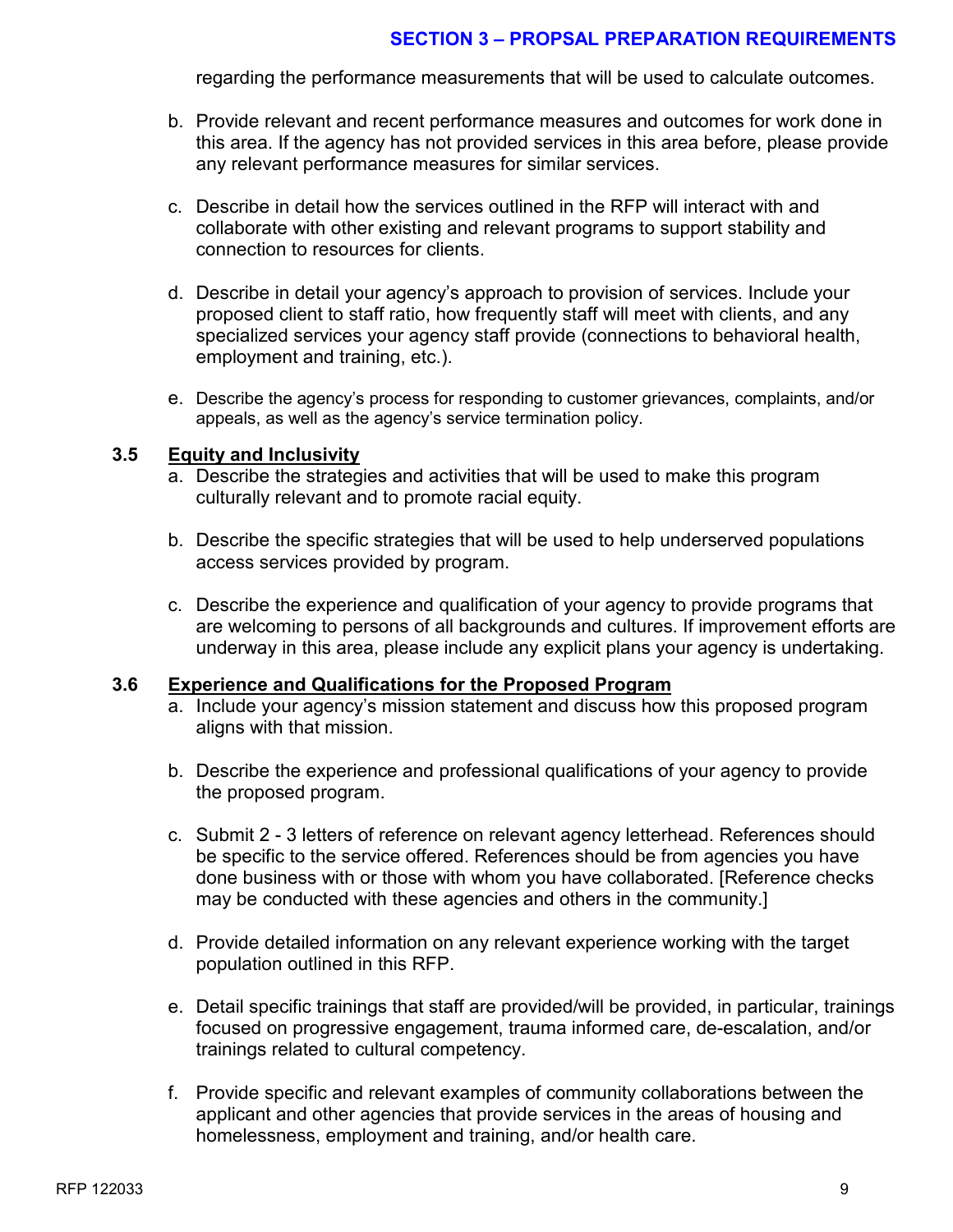#### **SECTION 3 – PROPSAL PREPARATION REQUIREMENTS**

regarding the performance measurements that will be used to calculate outcomes.

- b. Provide relevant and recent performance measures and outcomes for work done in this area. If the agency has not provided services in this area before, please provide any relevant performance measures for similar services.
- c. Describe in detail how the services outlined in the RFP will interact with and collaborate with other existing and relevant programs to support stability and connection to resources for clients.
- d. Describe in detail your agency's approach to provision of services. Include your proposed client to staff ratio, how frequently staff will meet with clients, and any specialized services your agency staff provide (connections to behavioral health, employment and training, etc.).
- e. Describe the agency's process for responding to customer grievances, complaints, and/or appeals, as well as the agency's service termination policy.

#### **3.5 Equity and Inclusivity**

- a. Describe the strategies and activities that will be used to make this program culturally relevant and to promote racial equity.
- b. Describe the specific strategies that will be used to help underserved populations access services provided by program.
- c. Describe the experience and qualification of your agency to provide programs that are welcoming to persons of all backgrounds and cultures. If improvement efforts are underway in this area, please include any explicit plans your agency is undertaking.

#### **3.6 Experience and Qualifications for the Proposed Program**

- a. Include your agency's mission statement and discuss how this proposed program aligns with that mission.
- b. Describe the experience and professional qualifications of your agency to provide the proposed program.
- c. Submit 2 3 letters of reference on relevant agency letterhead. References should be specific to the service offered. References should be from agencies you have done business with or those with whom you have collaborated. [Reference checks may be conducted with these agencies and others in the community.]
- d. Provide detailed information on any relevant experience working with the target population outlined in this RFP.
- e. Detail specific trainings that staff are provided/will be provided, in particular, trainings focused on progressive engagement, trauma informed care, de-escalation, and/or trainings related to cultural competency.
- f. Provide specific and relevant examples of community collaborations between the applicant and other agencies that provide services in the areas of housing and homelessness, employment and training, and/or health care.